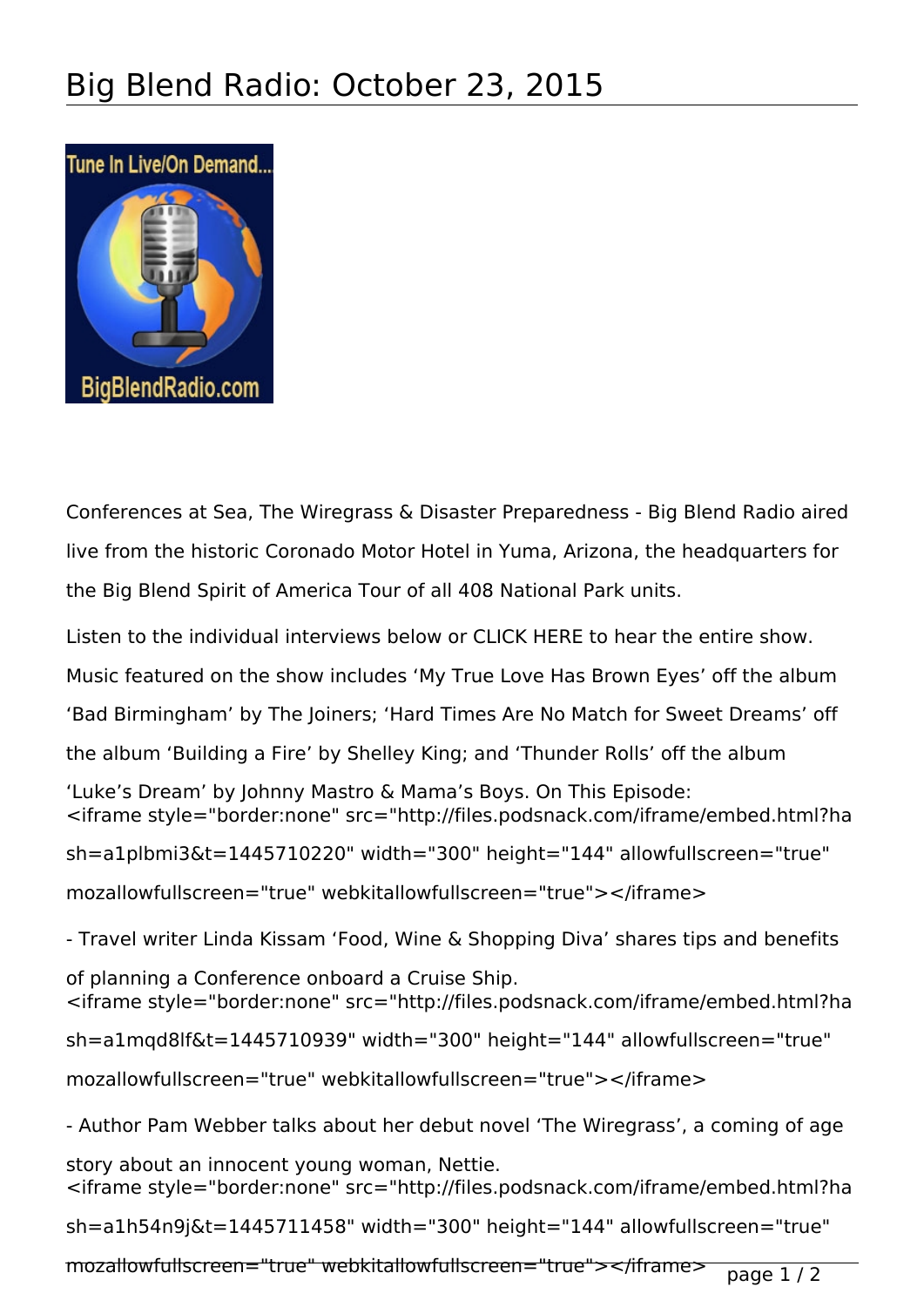

Conferences at Sea, The Wiregrass & Disaster Preparedness - Big Blend Radio aired live from the historic Coronado Motor Hotel in Yuma, Arizona, the headquarters for the Big Blend Spirit of America Tour of all 408 National Park units.

Listen to the individual interviews below or CLICK HERE to hear the entire show.

Music featured on the show includes 'My True Love Has Brown Eyes' off the album

'Bad Birmingham' by The Joiners; 'Hard Times Are No Match for Sweet Dreams' off

the album 'Building a Fire' by Shelley King; and 'Thunder Rolls' off the album

'Luke's Dream' by Johnny Mastro & Mama's Boys. On This Episode: <iframe style="border:none" src="http://files.podsnack.com/iframe/embed.html?ha

sh=a1plbmi3&t=1445710220" width="300" height="144" allowfullscreen="true"

mozallowfullscreen="true" webkitallowfullscreen="true"></iframe>

- Travel writer Linda Kissam 'Food, Wine & Shopping Diva' shares tips and benefits

of planning a Conference onboard a Cruise Ship. <iframe style="border:none" src="http://files.podsnack.com/iframe/embed.html?ha

sh=a1mqd8lf&t=1445710939" width="300" height="144" allowfullscreen="true"

mozallowfullscreen="true" webkitallowfullscreen="true"></iframe>

- Author Pam Webber talks about her debut novel 'The Wiregrass', a coming of age

story about an innocent young woman, Nettie. <iframe style="border:none" src="http://files.podsnack.com/iframe/embed.html?ha

sh=a1h54n9j&t=1445711458" width="300" height="144" allowfullscreen="true"

mozallowfullscreen="true" webkitallowfullscreen="true"></iframe> page 1/2